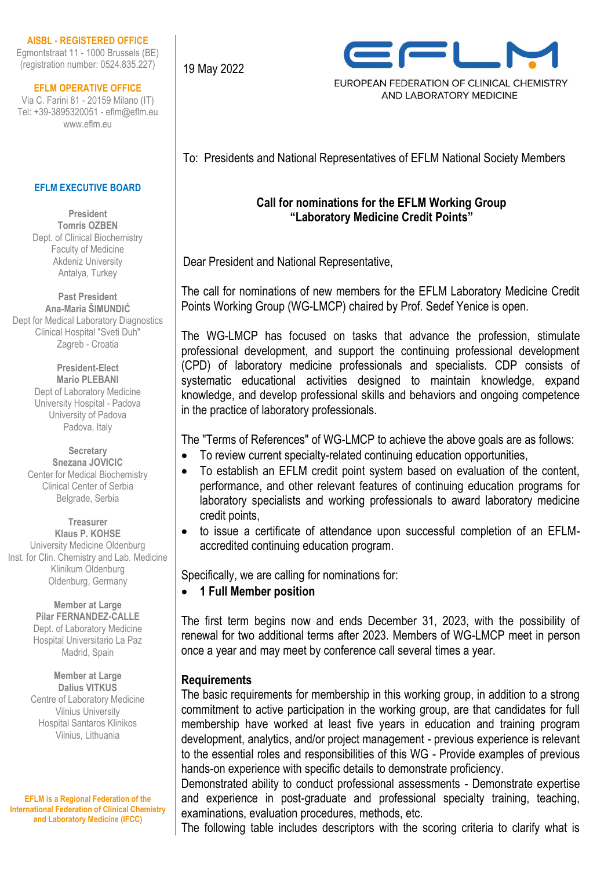### **AISBL - REGISTERED OFFICE**

Egmontstraat 11 - 1000 Brussels (BE) (registration number: 0524.835.227)

### **EFLM OPERATIVE OFFICE**

Via C. Farini 81 - 20159 Milano (IT) Tel: +39-3895320051 - eflm@eflm.eu www.eflm.eu

### **EFLM EXECUTIVE BOARD**

**President Tomris OZBEN** Dept. of Clinical Biochemistry Faculty of Medicine Akdeniz University Antalya, Turkey

**Past President Ana-Maria ŠIMUNDIĆ** Dept for Medical Laboratory Diagnostics Clinical Hospital "Sveti Duh" Zagreb - Croatia

> **President-Elect Mario PLEBANI** Dept of Laboratory Medicine University Hospital - Padova University of Padova Padova, Italy

**Secretary Snezana JOVICIC** Center for Medical Biochemistry Clinical Center of Serbia Belgrade, Serbia

**Treasurer Klaus P. KOHSE** University Medicine Oldenburg Inst. for Clin. Chemistry and Lab. Medicine Klinikum Oldenburg Oldenburg, Germany

> **Member at Large Pilar FERNANDEZ-CALLE** Dept. of Laboratory Medicine Hospital Universitario La Paz Madrid, Spain

**Member at Large Dalius VITKUS** Centre of Laboratory Medicine Vilnius University Hospital Santaros Klinikos Vilnius, Lithuania

**EFLM is a Regional Federation of the International Federation of Clinical Chemistry and Laboratory Medicine (IFCC)**

19 May 2022



EUROPEAN FEDERATION OF CLINICAL CHEMISTRY AND LABORATORY MEDICINE

To: Presidents and National Representatives of EFLM National Society Members

# **Call for nominations for the EFLM Working Group "Laboratory Medicine Credit Points"**

Dear President and National Representative,

The call for nominations of new members for the EFLM Laboratory Medicine Credit Points Working Group (WG-LMCP) chaired by Prof. Sedef Yenice is open.

The WG-LMCP has focused on tasks that advance the profession, stimulate professional development, and support the continuing professional development (CPD) of laboratory medicine professionals and specialists. CDP consists of systematic educational activities designed to maintain knowledge, expand knowledge, and develop professional skills and behaviors and ongoing competence in the practice of laboratory professionals.

The "Terms of References" of WG-LMCP to achieve the above goals are as follows:

- To review current specialty-related continuing education opportunities,
- To establish an EFLM credit point system based on evaluation of the content, performance, and other relevant features of continuing education programs for laboratory specialists and working professionals to award laboratory medicine credit points,
- to issue a certificate of attendance upon successful completion of an EFLMaccredited continuing education program.

Specifically, we are calling for nominations for:

# • **1 Full Member position**

The first term begins now and ends December 31, 2023, with the possibility of renewal for two additional terms after 2023. Members of WG-LMCP meet in person once a year and may meet by conference call several times a year.

# **Requirements**

The basic requirements for membership in this working group, in addition to a strong commitment to active participation in the working group, are that candidates for full membership have worked at least five years in education and training program development, analytics, and/or project management - previous experience is relevant to the essential roles and responsibilities of this WG - Provide examples of previous hands-on experience with specific details to demonstrate proficiency.

Demonstrated ability to conduct professional assessments - Demonstrate expertise and experience in post-graduate and professional specialty training, teaching, examinations, evaluation procedures, methods, etc.

The following table includes descriptors with the scoring criteria to clarify what is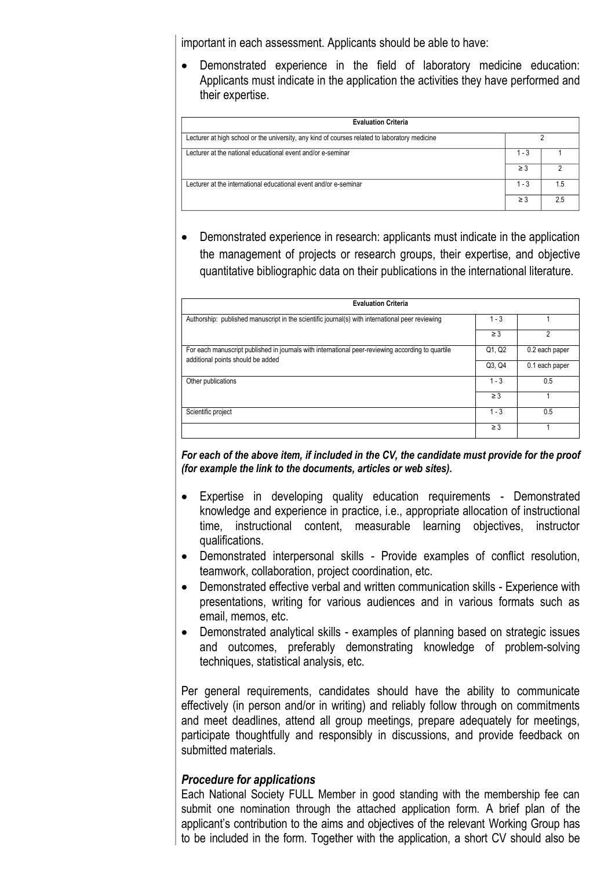important in each assessment. Applicants should be able to have:

• Demonstrated experience in the field of laboratory medicine education: Applicants must indicate in the application the activities they have performed and their expertise.

| <b>Evaluation Criteria</b>                                                                    |          |     |  |
|-----------------------------------------------------------------------------------------------|----------|-----|--|
| Lecturer at high school or the university, any kind of courses related to laboratory medicine |          |     |  |
| Lecturer at the national educational event and/or e-seminar                                   | $1 - 3$  |     |  |
|                                                                                               | $\geq$ 3 |     |  |
| Lecturer at the international educational event and/or e-seminar                              | $1 - 3$  | 1.5 |  |
|                                                                                               | $\geq$ 3 | 25  |  |

• Demonstrated experience in research: applicants must indicate in the application the management of projects or research groups, their expertise, and objective quantitative bibliographic data on their publications in the international literature.

| <b>Evaluation Criteria</b>                                                                                                             |          |                |  |
|----------------------------------------------------------------------------------------------------------------------------------------|----------|----------------|--|
| Authorship: published manuscript in the scientific journal(s) with international peer reviewing                                        | $1 - 3$  |                |  |
|                                                                                                                                        | $\geq$ 3 |                |  |
| For each manuscript published in journals with international peer-reviewing according to quartile<br>additional points should be added | Q1, Q2   | 0.2 each paper |  |
|                                                                                                                                        | Q3, Q4   | 0.1 each paper |  |
| Other publications                                                                                                                     | $1 - 3$  | 0.5            |  |
|                                                                                                                                        | $\geq$ 3 |                |  |
| Scientific project                                                                                                                     | $1 - 3$  | 0.5            |  |
|                                                                                                                                        | $\geq$ 3 |                |  |

*For each of the above item, if included in the CV, the candidate must provide for the proof (for example the link to the documents, articles or web sites).*

- Expertise in developing quality education requirements Demonstrated knowledge and experience in practice, i.e., appropriate allocation of instructional time, instructional content, measurable learning objectives, instructor qualifications.
- Demonstrated interpersonal skills Provide examples of conflict resolution, teamwork, collaboration, project coordination, etc.
- Demonstrated effective verbal and written communication skills Experience with presentations, writing for various audiences and in various formats such as email, memos, etc.
- Demonstrated analytical skills examples of planning based on strategic issues and outcomes, preferably demonstrating knowledge of problem-solving techniques, statistical analysis, etc.

Per general requirements, candidates should have the ability to communicate effectively (in person and/or in writing) and reliably follow through on commitments and meet deadlines, attend all group meetings, prepare adequately for meetings, participate thoughtfully and responsibly in discussions, and provide feedback on submitted materials.

### *Procedure for applications*

Each National Society FULL Member in good standing with the membership fee can submit one nomination through the attached application form. A brief plan of the applicant's contribution to the aims and objectives of the relevant Working Group has to be included in the form. Together with the application, a short CV should also be